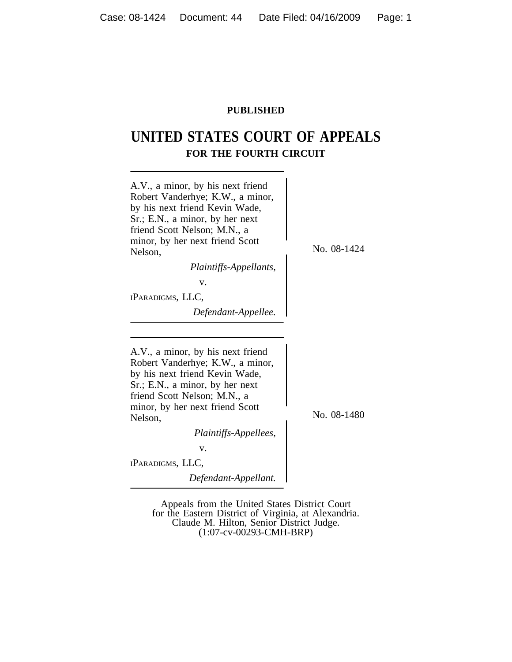# **PUBLISHED**

# **UNITED STATES COURT OF APPEALS FOR THE FOURTH CIRCUIT**



Appeals from the United States District Court for the Eastern District of Virginia, at Alexandria. Claude M. Hilton, Senior District Judge. (1:07-cv-00293-CMH-BRP)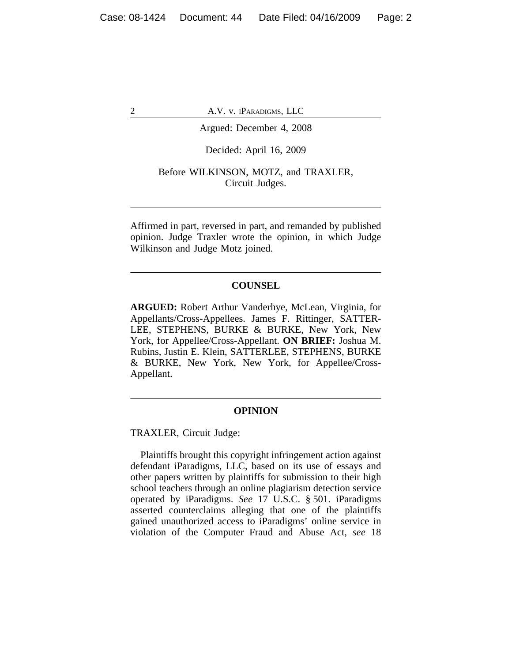### Argued: December 4, 2008

#### Decided: April 16, 2009

#### Before WILKINSON, MOTZ, and TRAXLER, Circuit Judges.

Affirmed in part, reversed in part, and remanded by published opinion. Judge Traxler wrote the opinion, in which Judge Wilkinson and Judge Motz joined.

# **COUNSEL**

**ARGUED:** Robert Arthur Vanderhye, McLean, Virginia, for Appellants/Cross-Appellees. James F. Rittinger, SATTER-LEE, STEPHENS, BURKE & BURKE, New York, New York, for Appellee/Cross-Appellant. **ON BRIEF:** Joshua M. Rubins, Justin E. Klein, SATTERLEE, STEPHENS, BURKE & BURKE, New York, New York, for Appellee/Cross-Appellant.

#### **OPINION**

TRAXLER, Circuit Judge:

Plaintiffs brought this copyright infringement action against defendant iParadigms, LLC, based on its use of essays and other papers written by plaintiffs for submission to their high school teachers through an online plagiarism detection service operated by iParadigms. *See* 17 U.S.C. § 501. iParadigms asserted counterclaims alleging that one of the plaintiffs gained unauthorized access to iParadigms' online service in violation of the Computer Fraud and Abuse Act, *see* 18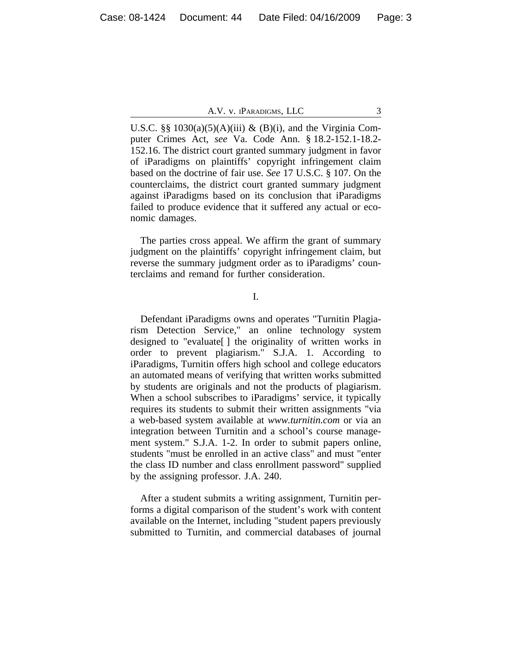U.S.C. §§ 1030(a)(5)(A)(iii) & (B)(i), and the Virginia Computer Crimes Act, *see* Va. Code Ann. § 18.2-152.1-18.2- 152.16. The district court granted summary judgment in favor of iParadigms on plaintiffs' copyright infringement claim based on the doctrine of fair use. *See* 17 U.S.C. § 107. On the counterclaims, the district court granted summary judgment against iParadigms based on its conclusion that iParadigms failed to produce evidence that it suffered any actual or economic damages.

The parties cross appeal. We affirm the grant of summary judgment on the plaintiffs' copyright infringement claim, but reverse the summary judgment order as to iParadigms' counterclaims and remand for further consideration.

I.

Defendant iParadigms owns and operates "Turnitin Plagiarism Detection Service," an online technology system designed to "evaluate[ ] the originality of written works in order to prevent plagiarism." S.J.A. 1. According to iParadigms, Turnitin offers high school and college educators an automated means of verifying that written works submitted by students are originals and not the products of plagiarism. When a school subscribes to iParadigms' service, it typically requires its students to submit their written assignments "via a web-based system available at *www.turnitin.com* or via an integration between Turnitin and a school's course management system." S.J.A. 1-2. In order to submit papers online, students "must be enrolled in an active class" and must "enter the class ID number and class enrollment password" supplied by the assigning professor. J.A. 240.

After a student submits a writing assignment, Turnitin performs a digital comparison of the student's work with content available on the Internet, including "student papers previously submitted to Turnitin, and commercial databases of journal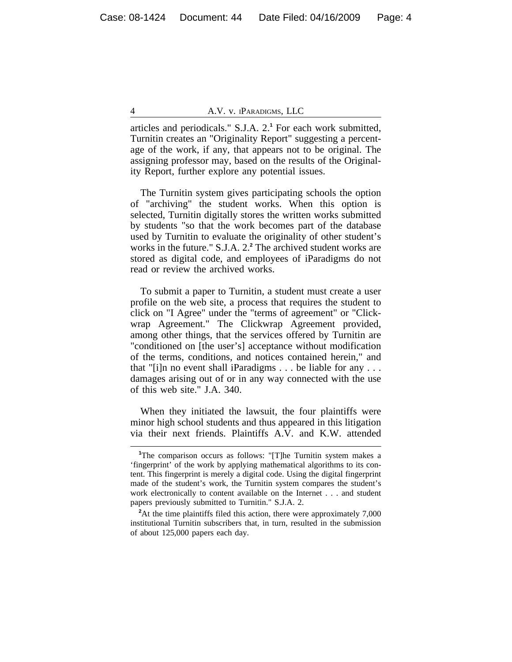articles and periodicals." S.J.A. 2.**<sup>1</sup>** For each work submitted, Turnitin creates an "Originality Report" suggesting a percentage of the work, if any, that appears not to be original. The assigning professor may, based on the results of the Originality Report, further explore any potential issues.

The Turnitin system gives participating schools the option of "archiving" the student works. When this option is selected, Turnitin digitally stores the written works submitted by students "so that the work becomes part of the database used by Turnitin to evaluate the originality of other student's works in the future." S.J.A. 2.<sup>2</sup> The archived student works are stored as digital code, and employees of iParadigms do not read or review the archived works.

To submit a paper to Turnitin, a student must create a user profile on the web site, a process that requires the student to click on "I Agree" under the "terms of agreement" or "Clickwrap Agreement." The Clickwrap Agreement provided, among other things, that the services offered by Turnitin are "conditioned on [the user's] acceptance without modification of the terms, conditions, and notices contained herein," and that "[i]n no event shall iParadigms . . . be liable for any . . . damages arising out of or in any way connected with the use of this web site." J.A. 340.

When they initiated the lawsuit, the four plaintiffs were minor high school students and thus appeared in this litigation via their next friends. Plaintiffs A.V. and K.W. attended

<sup>&</sup>lt;sup>1</sup>The comparison occurs as follows: "[T]he Turnitin system makes a 'fingerprint' of the work by applying mathematical algorithms to its content. This fingerprint is merely a digital code. Using the digital fingerprint made of the student's work, the Turnitin system compares the student's work electronically to content available on the Internet . . . and student papers previously submitted to Turnitin." S.J.A. 2.

<sup>&</sup>lt;sup>2</sup>At the time plaintiffs filed this action, there were approximately 7,000 institutional Turnitin subscribers that, in turn, resulted in the submission of about 125,000 papers each day.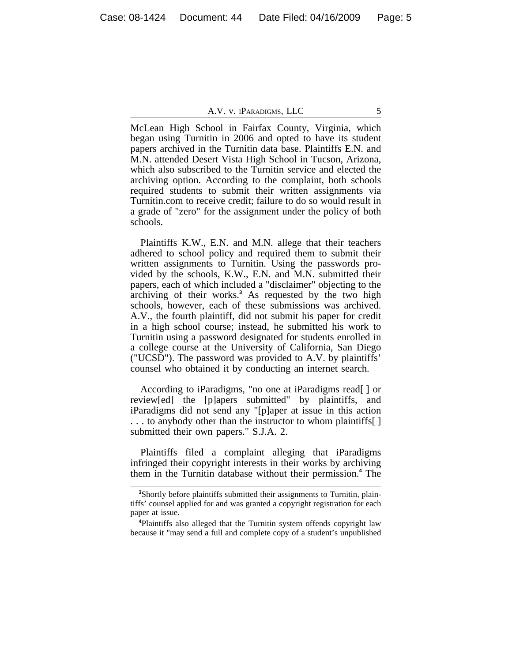McLean High School in Fairfax County, Virginia, which began using Turnitin in 2006 and opted to have its student papers archived in the Turnitin data base. Plaintiffs E.N. and M.N. attended Desert Vista High School in Tucson, Arizona, which also subscribed to the Turnitin service and elected the archiving option. According to the complaint, both schools required students to submit their written assignments via Turnitin.com to receive credit; failure to do so would result in a grade of "zero" for the assignment under the policy of both schools.

Plaintiffs K.W., E.N. and M.N. allege that their teachers adhered to school policy and required them to submit their written assignments to Turnitin. Using the passwords provided by the schools, K.W., E.N. and M.N. submitted their papers, each of which included a "disclaimer" objecting to the archiving of their works.**<sup>3</sup>** As requested by the two high schools, however, each of these submissions was archived. A.V., the fourth plaintiff, did not submit his paper for credit in a high school course; instead, he submitted his work to Turnitin using a password designated for students enrolled in a college course at the University of California, San Diego ("UCSD"). The password was provided to A.V. by plaintiffs' counsel who obtained it by conducting an internet search.

According to iParadigms, "no one at iParadigms read[ ] or review[ed] the [p]apers submitted" by plaintiffs, and iParadigms did not send any "[p]aper at issue in this action . . . to anybody other than the instructor to whom plaintiffs[ ] submitted their own papers." S.J.A. 2.

Plaintiffs filed a complaint alleging that iParadigms infringed their copyright interests in their works by archiving them in the Turnitin database without their permission.**<sup>4</sup>** The

**<sup>3</sup>**Shortly before plaintiffs submitted their assignments to Turnitin, plaintiffs' counsel applied for and was granted a copyright registration for each paper at issue.

**<sup>4</sup>**Plaintiffs also alleged that the Turnitin system offends copyright law because it "may send a full and complete copy of a student's unpublished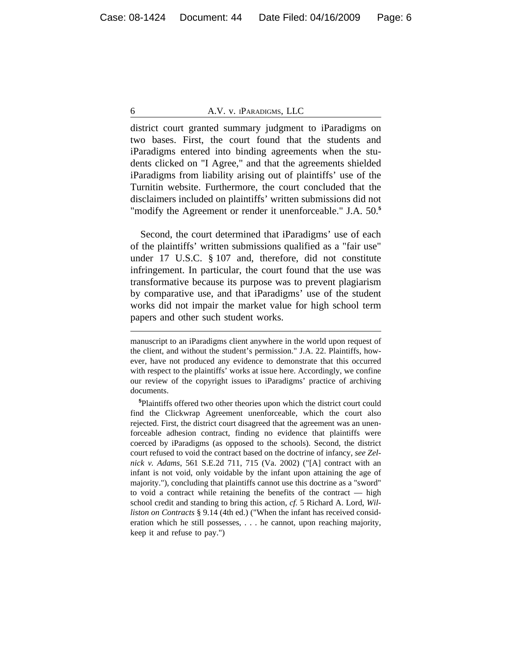district court granted summary judgment to iParadigms on two bases. First, the court found that the students and iParadigms entered into binding agreements when the students clicked on "I Agree," and that the agreements shielded iParadigms from liability arising out of plaintiffs' use of the Turnitin website. Furthermore, the court concluded that the disclaimers included on plaintiffs' written submissions did not "modify the Agreement or render it unenforceable." J.A. 50.**<sup>5</sup>**

Second, the court determined that iParadigms' use of each of the plaintiffs' written submissions qualified as a "fair use" under 17 U.S.C. § 107 and, therefore, did not constitute infringement. In particular, the court found that the use was transformative because its purpose was to prevent plagiarism by comparative use, and that iParadigms' use of the student works did not impair the market value for high school term papers and other such student works.

manuscript to an iParadigms client anywhere in the world upon request of the client, and without the student's permission." J.A. 22. Plaintiffs, however, have not produced any evidence to demonstrate that this occurred with respect to the plaintiffs' works at issue here. Accordingly, we confine our review of the copyright issues to iParadigms' practice of archiving documents.

**<sup>5</sup>**Plaintiffs offered two other theories upon which the district court could find the Clickwrap Agreement unenforceable, which the court also rejected. First, the district court disagreed that the agreement was an unenforceable adhesion contract, finding no evidence that plaintiffs were coerced by iParadigms (as opposed to the schools). Second, the district court refused to void the contract based on the doctrine of infancy, *see Zelnick v. Adams*, 561 S.E.2d 711, 715 (Va. 2002) ("[A] contract with an infant is not void, only voidable by the infant upon attaining the age of majority."), concluding that plaintiffs cannot use this doctrine as a "sword" to void a contract while retaining the benefits of the contract — high school credit and standing to bring this action, *cf.* 5 Richard A. Lord, *Williston on Contracts* § 9.14 (4th ed.) ("When the infant has received consideration which he still possesses, . . . he cannot, upon reaching majority, keep it and refuse to pay.")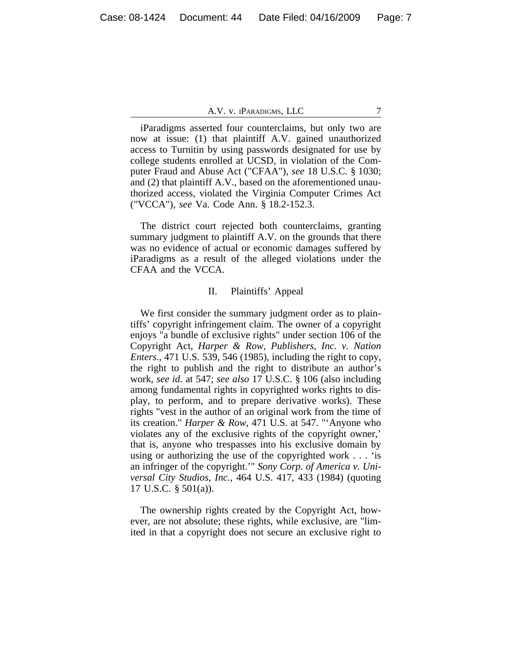iParadigms asserted four counterclaims, but only two are now at issue: (1) that plaintiff A.V. gained unauthorized access to Turnitin by using passwords designated for use by college students enrolled at UCSD, in violation of the Computer Fraud and Abuse Act ("CFAA"), *see* 18 U.S.C. § 1030; and (2) that plaintiff A.V., based on the aforementioned unauthorized access, violated the Virginia Computer Crimes Act ("VCCA"), *see* Va. Code Ann. § 18.2-152.3.

The district court rejected both counterclaims, granting summary judgment to plaintiff A.V. on the grounds that there was no evidence of actual or economic damages suffered by iParadigms as a result of the alleged violations under the CFAA and the VCCA.

#### II. Plaintiffs' Appeal

We first consider the summary judgment order as to plaintiffs' copyright infringement claim. The owner of a copyright enjoys "a bundle of exclusive rights" under section 106 of the Copyright Act, *Harper & Row, Publishers, Inc. v. Nation Enters.*, 471 U.S. 539, 546 (1985), including the right to copy, the right to publish and the right to distribute an author's work, *see id.* at 547; *see also* 17 U.S.C. § 106 (also including among fundamental rights in copyrighted works rights to display, to perform, and to prepare derivative works). These rights "vest in the author of an original work from the time of its creation." *Harper & Row*, 471 U.S. at 547. "'Anyone who violates any of the exclusive rights of the copyright owner,' that is, anyone who trespasses into his exclusive domain by using or authorizing the use of the copyrighted work . . . 'is an infringer of the copyright.'" *Sony Corp. of America v. Universal City Studios, Inc.*, 464 U.S. 417, 433 (1984) (quoting 17 U.S.C. § 501(a)).

The ownership rights created by the Copyright Act, however, are not absolute; these rights, while exclusive, are "limited in that a copyright does not secure an exclusive right to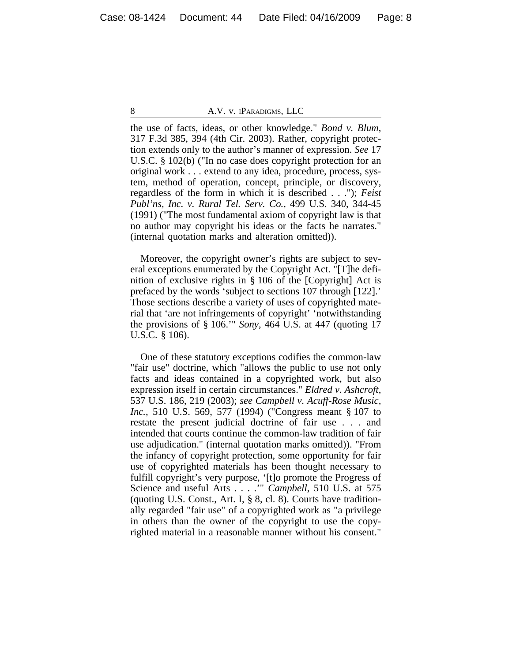the use of facts, ideas, or other knowledge." *Bond v. Blum*, 317 F.3d 385, 394 (4th Cir. 2003). Rather, copyright protection extends only to the author's manner of expression. *See* 17 U.S.C. § 102(b) ("In no case does copyright protection for an original work . . . extend to any idea, procedure, process, system, method of operation, concept, principle, or discovery, regardless of the form in which it is described . . ."); *Feist Publ'ns, Inc. v. Rural Tel. Serv. Co.*, 499 U.S. 340, 344-45 (1991) ("The most fundamental axiom of copyright law is that no author may copyright his ideas or the facts he narrates." (internal quotation marks and alteration omitted)).

Moreover, the copyright owner's rights are subject to several exceptions enumerated by the Copyright Act. "[T]he definition of exclusive rights in § 106 of the [Copyright] Act is prefaced by the words 'subject to sections 107 through [122].' Those sections describe a variety of uses of copyrighted material that 'are not infringements of copyright' 'notwithstanding the provisions of § 106.'" *Sony*, 464 U.S. at 447 (quoting 17 U.S.C. § 106).

One of these statutory exceptions codifies the common-law "fair use" doctrine, which "allows the public to use not only facts and ideas contained in a copyrighted work, but also expression itself in certain circumstances." *Eldred v. Ashcroft*, 537 U.S. 186, 219 (2003); *see Campbell v. Acuff-Rose Music, Inc.*, 510 U.S. 569, 577 (1994) ("Congress meant § 107 to restate the present judicial doctrine of fair use . . . and intended that courts continue the common-law tradition of fair use adjudication." (internal quotation marks omitted)). "From the infancy of copyright protection, some opportunity for fair use of copyrighted materials has been thought necessary to fulfill copyright's very purpose, '[t]o promote the Progress of Science and useful Arts . . . .'" *Campbell*, 510 U.S. at 575 (quoting U.S. Const., Art. I, § 8, cl. 8). Courts have traditionally regarded "fair use" of a copyrighted work as "a privilege in others than the owner of the copyright to use the copyrighted material in a reasonable manner without his consent."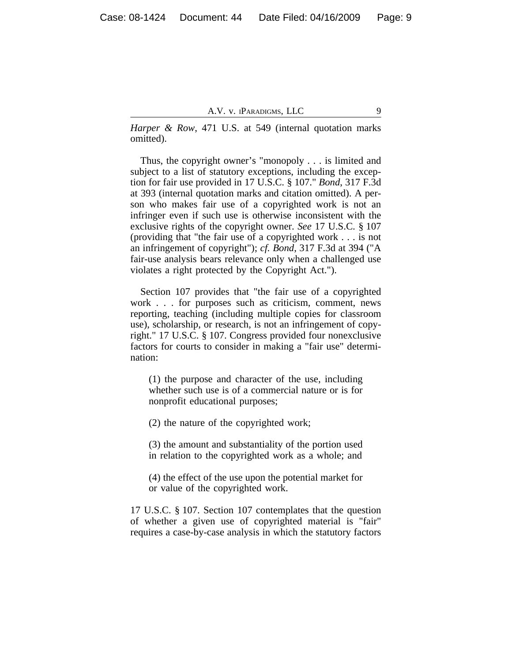*Harper & Row*, 471 U.S. at 549 (internal quotation marks omitted).

Thus, the copyright owner's "monopoly . . . is limited and subject to a list of statutory exceptions, including the exception for fair use provided in 17 U.S.C. § 107." *Bond*, 317 F.3d at 393 (internal quotation marks and citation omitted). A person who makes fair use of a copyrighted work is not an infringer even if such use is otherwise inconsistent with the exclusive rights of the copyright owner. *See* 17 U.S.C. § 107 (providing that "the fair use of a copyrighted work . . . is not an infringement of copyright"); *cf. Bond*, 317 F.3d at 394 ("A fair-use analysis bears relevance only when a challenged use violates a right protected by the Copyright Act.").

Section 107 provides that "the fair use of a copyrighted work . . . for purposes such as criticism, comment, news reporting, teaching (including multiple copies for classroom use), scholarship, or research, is not an infringement of copyright." 17 U.S.C. § 107. Congress provided four nonexclusive factors for courts to consider in making a "fair use" determination:

(1) the purpose and character of the use, including whether such use is of a commercial nature or is for nonprofit educational purposes;

(2) the nature of the copyrighted work;

(3) the amount and substantiality of the portion used in relation to the copyrighted work as a whole; and

(4) the effect of the use upon the potential market for or value of the copyrighted work.

17 U.S.C. § 107. Section 107 contemplates that the question of whether a given use of copyrighted material is "fair" requires a case-by-case analysis in which the statutory factors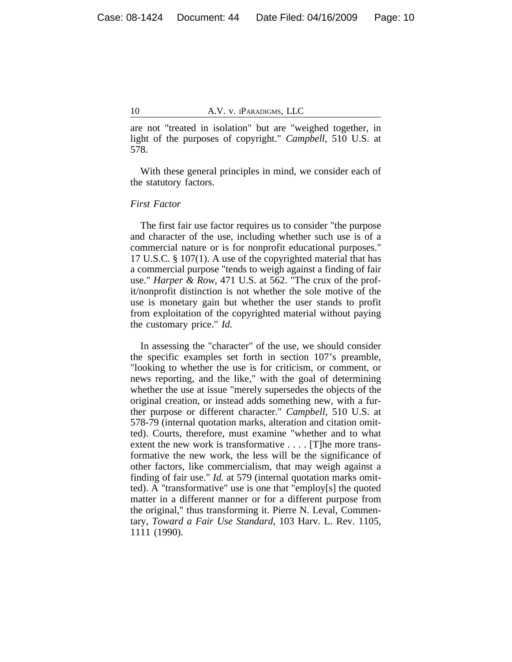are not "treated in isolation" but are "weighed together, in light of the purposes of copyright." *Campbell*, 510 U.S. at 578.

With these general principles in mind, we consider each of the statutory factors.

## *First Factor*

The first fair use factor requires us to consider "the purpose and character of the use, including whether such use is of a commercial nature or is for nonprofit educational purposes." 17 U.S.C. § 107(1). A use of the copyrighted material that has a commercial purpose "tends to weigh against a finding of fair use." *Harper & Row*, 471 U.S. at 562. "The crux of the profit/nonprofit distinction is not whether the sole motive of the use is monetary gain but whether the user stands to profit from exploitation of the copyrighted material without paying the customary price." *Id.*

In assessing the "character" of the use, we should consider the specific examples set forth in section 107's preamble, "looking to whether the use is for criticism, or comment, or news reporting, and the like," with the goal of determining whether the use at issue "merely supersedes the objects of the original creation, or instead adds something new, with a further purpose or different character." *Campbell*, 510 U.S. at 578-79 (internal quotation marks, alteration and citation omitted). Courts, therefore, must examine "whether and to what extent the new work is transformative . . . . [T]he more transformative the new work, the less will be the significance of other factors, like commercialism, that may weigh against a finding of fair use." *Id.* at 579 (internal quotation marks omitted). A "transformative" use is one that "employ[s] the quoted matter in a different manner or for a different purpose from the original," thus transforming it. Pierre N. Leval, Commentary, *Toward a Fair Use Standard*, 103 Harv. L. Rev. 1105, 1111 (1990).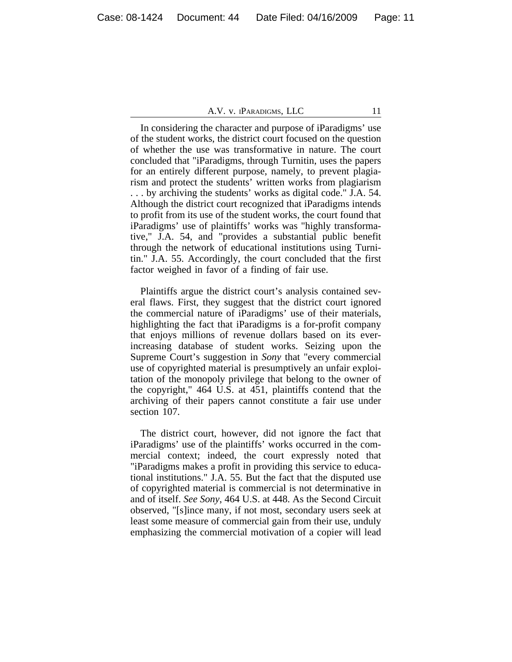In considering the character and purpose of iParadigms' use of the student works, the district court focused on the question of whether the use was transformative in nature. The court concluded that "iParadigms, through Turnitin, uses the papers for an entirely different purpose, namely, to prevent plagiarism and protect the students' written works from plagiarism . . . by archiving the students' works as digital code." J.A. 54. Although the district court recognized that iParadigms intends to profit from its use of the student works, the court found that iParadigms' use of plaintiffs' works was "highly transformative," J.A. 54, and "provides a substantial public benefit through the network of educational institutions using Turnitin." J.A. 55. Accordingly, the court concluded that the first factor weighed in favor of a finding of fair use.

Plaintiffs argue the district court's analysis contained several flaws. First, they suggest that the district court ignored the commercial nature of iParadigms' use of their materials, highlighting the fact that iParadigms is a for-profit company that enjoys millions of revenue dollars based on its everincreasing database of student works. Seizing upon the Supreme Court's suggestion in *Sony* that "every commercial use of copyrighted material is presumptively an unfair exploitation of the monopoly privilege that belong to the owner of the copyright," 464 U.S. at 451, plaintiffs contend that the archiving of their papers cannot constitute a fair use under section 107.

The district court, however, did not ignore the fact that iParadigms' use of the plaintiffs' works occurred in the commercial context; indeed, the court expressly noted that "iParadigms makes a profit in providing this service to educational institutions." J.A. 55. But the fact that the disputed use of copyrighted material is commercial is not determinative in and of itself. *See Sony*, 464 U.S. at 448. As the Second Circuit observed, "[s]ince many, if not most, secondary users seek at least some measure of commercial gain from their use, unduly emphasizing the commercial motivation of a copier will lead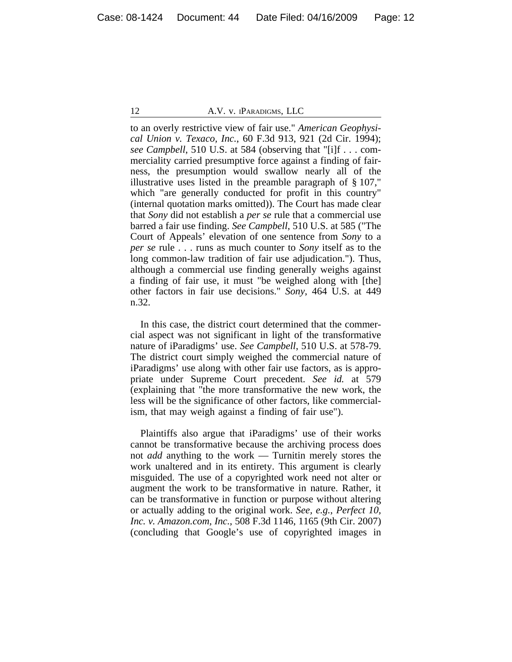to an overly restrictive view of fair use." *American Geophysical Union v. Texaco, Inc.*, 60 F.3d 913, 921 (2d Cir. 1994); *see Campbell*, 510 U.S. at 584 (observing that "[i]f . . . commerciality carried presumptive force against a finding of fairness, the presumption would swallow nearly all of the illustrative uses listed in the preamble paragraph of § 107," which "are generally conducted for profit in this country" (internal quotation marks omitted)). The Court has made clear that *Sony* did not establish a *per se* rule that a commercial use barred a fair use finding. *See Campbell*, 510 U.S. at 585 ("The Court of Appeals' elevation of one sentence from *Sony* to a *per se* rule . . . runs as much counter to *Sony* itself as to the long common-law tradition of fair use adjudication."). Thus, although a commercial use finding generally weighs against a finding of fair use, it must "be weighed along with [the] other factors in fair use decisions." *Sony*, 464 U.S. at 449 n.32.

In this case, the district court determined that the commercial aspect was not significant in light of the transformative nature of iParadigms' use. *See Campbell*, 510 U.S. at 578-79. The district court simply weighed the commercial nature of iParadigms' use along with other fair use factors, as is appropriate under Supreme Court precedent. *See id.* at 579 (explaining that "the more transformative the new work, the less will be the significance of other factors, like commercialism, that may weigh against a finding of fair use").

Plaintiffs also argue that iParadigms' use of their works cannot be transformative because the archiving process does not *add* anything to the work — Turnitin merely stores the work unaltered and in its entirety. This argument is clearly misguided. The use of a copyrighted work need not alter or augment the work to be transformative in nature. Rather, it can be transformative in function or purpose without altering or actually adding to the original work. *See, e.g.*, *Perfect 10, Inc. v. Amazon.com, Inc.*, 508 F.3d 1146, 1165 (9th Cir. 2007) (concluding that Google's use of copyrighted images in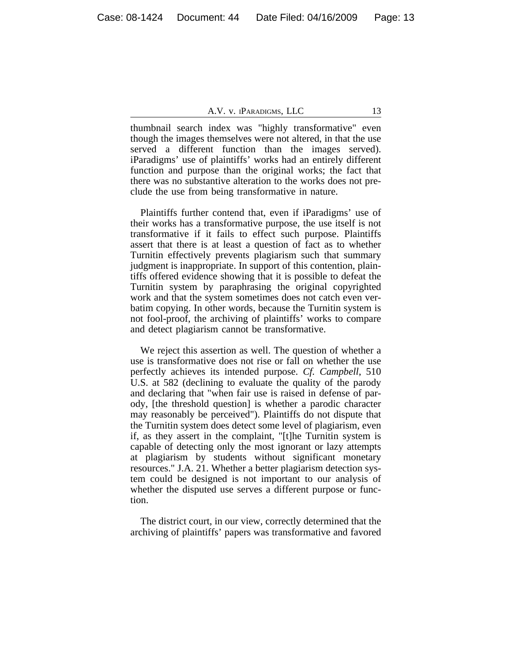thumbnail search index was "highly transformative" even though the images themselves were not altered, in that the use served a different function than the images served). iParadigms' use of plaintiffs' works had an entirely different function and purpose than the original works; the fact that there was no substantive alteration to the works does not preclude the use from being transformative in nature.

Plaintiffs further contend that, even if iParadigms' use of their works has a transformative purpose, the use itself is not transformative if it fails to effect such purpose. Plaintiffs assert that there is at least a question of fact as to whether Turnitin effectively prevents plagiarism such that summary judgment is inappropriate. In support of this contention, plaintiffs offered evidence showing that it is possible to defeat the Turnitin system by paraphrasing the original copyrighted work and that the system sometimes does not catch even verbatim copying. In other words, because the Turnitin system is not fool-proof, the archiving of plaintiffs' works to compare and detect plagiarism cannot be transformative.

We reject this assertion as well. The question of whether a use is transformative does not rise or fall on whether the use perfectly achieves its intended purpose. *Cf. Campbell*, 510 U.S. at 582 (declining to evaluate the quality of the parody and declaring that "when fair use is raised in defense of parody, [the threshold question] is whether a parodic character may reasonably be perceived"). Plaintiffs do not dispute that the Turnitin system does detect some level of plagiarism, even if, as they assert in the complaint, "[t]he Turnitin system is capable of detecting only the most ignorant or lazy attempts at plagiarism by students without significant monetary resources." J.A. 21. Whether a better plagiarism detection system could be designed is not important to our analysis of whether the disputed use serves a different purpose or function.

The district court, in our view, correctly determined that the archiving of plaintiffs' papers was transformative and favored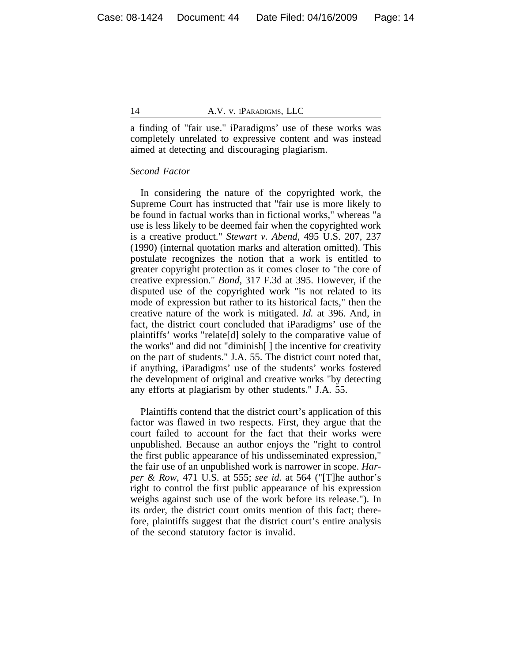a finding of "fair use." iParadigms' use of these works was completely unrelated to expressive content and was instead aimed at detecting and discouraging plagiarism.

#### *Second Factor*

In considering the nature of the copyrighted work, the Supreme Court has instructed that "fair use is more likely to be found in factual works than in fictional works," whereas "a use is less likely to be deemed fair when the copyrighted work is a creative product." *Stewart v. Abend*, 495 U.S. 207, 237 (1990) (internal quotation marks and alteration omitted). This postulate recognizes the notion that a work is entitled to greater copyright protection as it comes closer to "the core of creative expression." *Bond*, 317 F.3d at 395. However, if the disputed use of the copyrighted work "is not related to its mode of expression but rather to its historical facts," then the creative nature of the work is mitigated. *Id.* at 396. And, in fact, the district court concluded that iParadigms' use of the plaintiffs' works "relate[d] solely to the comparative value of the works" and did not "diminish[ ] the incentive for creativity on the part of students." J.A. 55. The district court noted that, if anything, iParadigms' use of the students' works fostered the development of original and creative works "by detecting any efforts at plagiarism by other students." J.A. 55.

Plaintiffs contend that the district court's application of this factor was flawed in two respects. First, they argue that the court failed to account for the fact that their works were unpublished. Because an author enjoys the "right to control the first public appearance of his undisseminated expression," the fair use of an unpublished work is narrower in scope. *Harper & Row*, 471 U.S. at 555; *see id.* at 564 ("[T]he author's right to control the first public appearance of his expression weighs against such use of the work before its release."). In its order, the district court omits mention of this fact; therefore, plaintiffs suggest that the district court's entire analysis of the second statutory factor is invalid.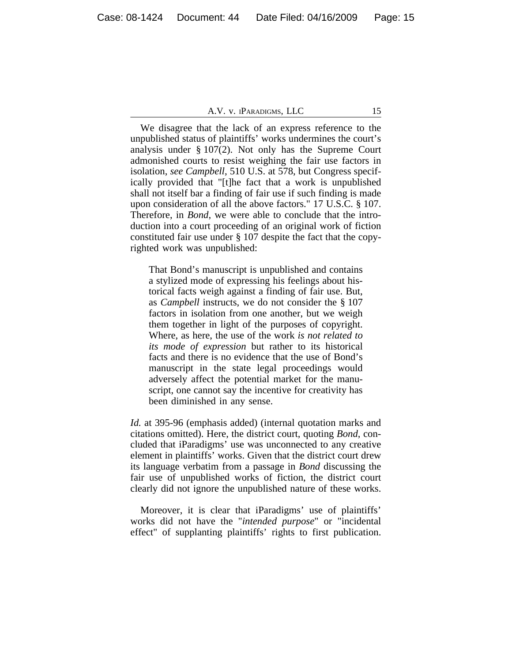We disagree that the lack of an express reference to the unpublished status of plaintiffs' works undermines the court's analysis under § 107(2). Not only has the Supreme Court admonished courts to resist weighing the fair use factors in isolation, *see Campbell*, 510 U.S. at 578, but Congress specifically provided that "[t]he fact that a work is unpublished shall not itself bar a finding of fair use if such finding is made upon consideration of all the above factors." 17 U.S.C. § 107. Therefore, in *Bond*, we were able to conclude that the introduction into a court proceeding of an original work of fiction constituted fair use under § 107 despite the fact that the copyrighted work was unpublished:

That Bond's manuscript is unpublished and contains a stylized mode of expressing his feelings about historical facts weigh against a finding of fair use. But, as *Campbell* instructs, we do not consider the § 107 factors in isolation from one another, but we weigh them together in light of the purposes of copyright. Where, as here, the use of the work *is not related to its mode of expression* but rather to its historical facts and there is no evidence that the use of Bond's manuscript in the state legal proceedings would adversely affect the potential market for the manuscript, one cannot say the incentive for creativity has been diminished in any sense.

*Id.* at 395-96 (emphasis added) (internal quotation marks and citations omitted). Here, the district court, quoting *Bond*, concluded that iParadigms' use was unconnected to any creative element in plaintiffs' works. Given that the district court drew its language verbatim from a passage in *Bond* discussing the fair use of unpublished works of fiction, the district court clearly did not ignore the unpublished nature of these works.

Moreover, it is clear that iParadigms' use of plaintiffs' works did not have the "*intended purpose*" or "incidental effect" of supplanting plaintiffs' rights to first publication.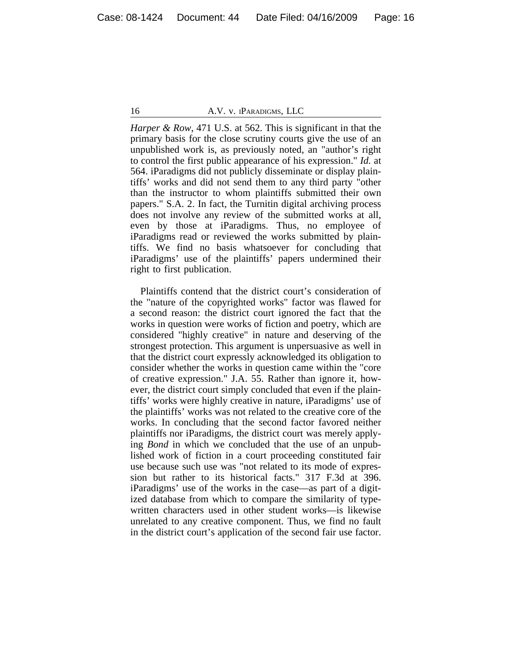*Harper & Row*, 471 U.S. at 562. This is significant in that the primary basis for the close scrutiny courts give the use of an unpublished work is, as previously noted, an "author's right to control the first public appearance of his expression." *Id.* at 564. iParadigms did not publicly disseminate or display plaintiffs' works and did not send them to any third party "other than the instructor to whom plaintiffs submitted their own papers." S.A. 2. In fact, the Turnitin digital archiving process does not involve any review of the submitted works at all, even by those at iParadigms. Thus, no employee of iParadigms read or reviewed the works submitted by plaintiffs. We find no basis whatsoever for concluding that iParadigms' use of the plaintiffs' papers undermined their right to first publication.

Plaintiffs contend that the district court's consideration of the "nature of the copyrighted works" factor was flawed for a second reason: the district court ignored the fact that the works in question were works of fiction and poetry, which are considered "highly creative" in nature and deserving of the strongest protection. This argument is unpersuasive as well in that the district court expressly acknowledged its obligation to consider whether the works in question came within the "core of creative expression." J.A. 55. Rather than ignore it, however, the district court simply concluded that even if the plaintiffs' works were highly creative in nature, iParadigms' use of the plaintiffs' works was not related to the creative core of the works. In concluding that the second factor favored neither plaintiffs nor iParadigms, the district court was merely applying *Bond* in which we concluded that the use of an unpublished work of fiction in a court proceeding constituted fair use because such use was "not related to its mode of expression but rather to its historical facts." 317 F.3d at 396. iParadigms' use of the works in the case—as part of a digitized database from which to compare the similarity of typewritten characters used in other student works—is likewise unrelated to any creative component. Thus, we find no fault in the district court's application of the second fair use factor.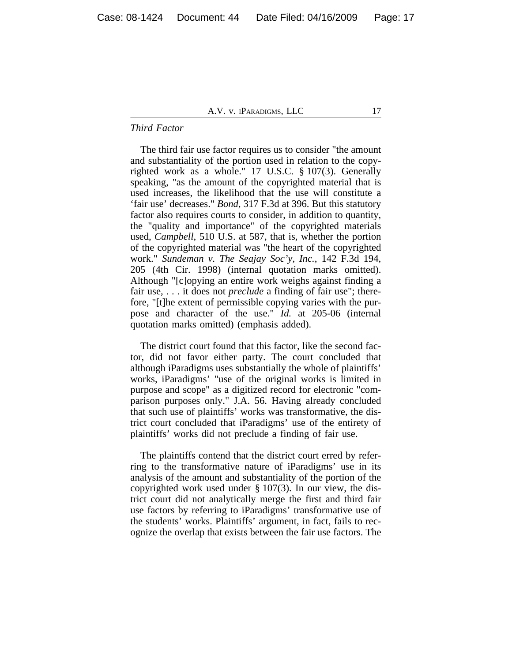#### *Third Factor*

The third fair use factor requires us to consider "the amount and substantiality of the portion used in relation to the copyrighted work as a whole." 17 U.S.C. § 107(3). Generally speaking, "as the amount of the copyrighted material that is used increases, the likelihood that the use will constitute a 'fair use' decreases." *Bond*, 317 F.3d at 396. But this statutory factor also requires courts to consider, in addition to quantity, the "quality and importance" of the copyrighted materials used, *Campbell*, 510 U.S. at 587, that is, whether the portion of the copyrighted material was "the heart of the copyrighted work." *Sundeman v. The Seajay Soc'y, Inc.*, 142 F.3d 194, 205 (4th Cir. 1998) (internal quotation marks omitted). Although "[c]opying an entire work weighs against finding a fair use, . . . it does not *preclude* a finding of fair use"; therefore, "[t]he extent of permissible copying varies with the purpose and character of the use." *Id.* at 205-06 (internal quotation marks omitted) (emphasis added).

The district court found that this factor, like the second factor, did not favor either party. The court concluded that although iParadigms uses substantially the whole of plaintiffs' works, iParadigms' "use of the original works is limited in purpose and scope" as a digitized record for electronic "comparison purposes only." J.A. 56. Having already concluded that such use of plaintiffs' works was transformative, the district court concluded that iParadigms' use of the entirety of plaintiffs' works did not preclude a finding of fair use.

The plaintiffs contend that the district court erred by referring to the transformative nature of iParadigms' use in its analysis of the amount and substantiality of the portion of the copyrighted work used under § 107(3). In our view, the district court did not analytically merge the first and third fair use factors by referring to iParadigms' transformative use of the students' works. Plaintiffs' argument, in fact, fails to recognize the overlap that exists between the fair use factors. The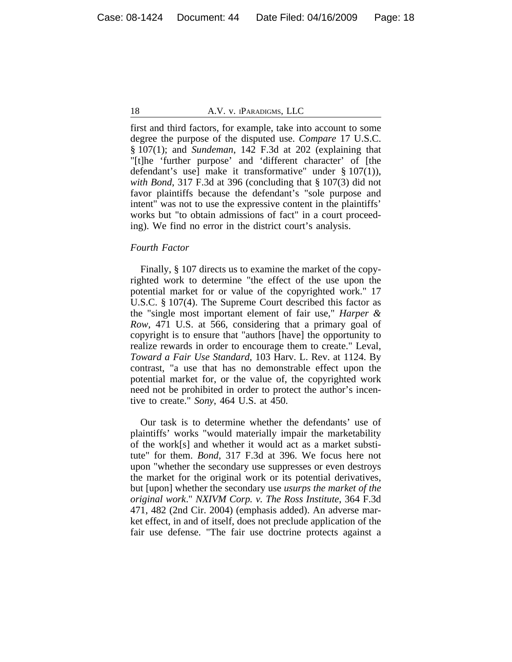first and third factors, for example, take into account to some degree the purpose of the disputed use. *Compare* 17 U.S.C. § 107(1); and *Sundeman*, 142 F.3d at 202 (explaining that "[t]he 'further purpose' and 'different character' of [the defendant's use] make it transformative" under § 107(1)), *with Bond*, 317 F.3d at 396 (concluding that § 107(3) did not favor plaintiffs because the defendant's "sole purpose and intent" was not to use the expressive content in the plaintiffs' works but "to obtain admissions of fact" in a court proceeding). We find no error in the district court's analysis.

# *Fourth Factor*

Finally, § 107 directs us to examine the market of the copyrighted work to determine "the effect of the use upon the potential market for or value of the copyrighted work." 17 U.S.C. § 107(4). The Supreme Court described this factor as the "single most important element of fair use," *Harper & Row*, 471 U.S. at 566, considering that a primary goal of copyright is to ensure that "authors [have] the opportunity to realize rewards in order to encourage them to create." Leval, *Toward a Fair Use Standard*, 103 Harv. L. Rev. at 1124. By contrast, "a use that has no demonstrable effect upon the potential market for, or the value of, the copyrighted work need not be prohibited in order to protect the author's incentive to create." *Sony*, 464 U.S. at 450.

Our task is to determine whether the defendants' use of plaintiffs' works "would materially impair the marketability of the work[s] and whether it would act as a market substitute" for them. *Bond*, 317 F.3d at 396. We focus here not upon "whether the secondary use suppresses or even destroys the market for the original work or its potential derivatives, but [upon] whether the secondary use *usurps the market of the original work*." *NXIVM Corp. v. The Ross Institute*, 364 F.3d 471, 482 (2nd Cir. 2004) (emphasis added). An adverse market effect, in and of itself, does not preclude application of the fair use defense. "The fair use doctrine protects against a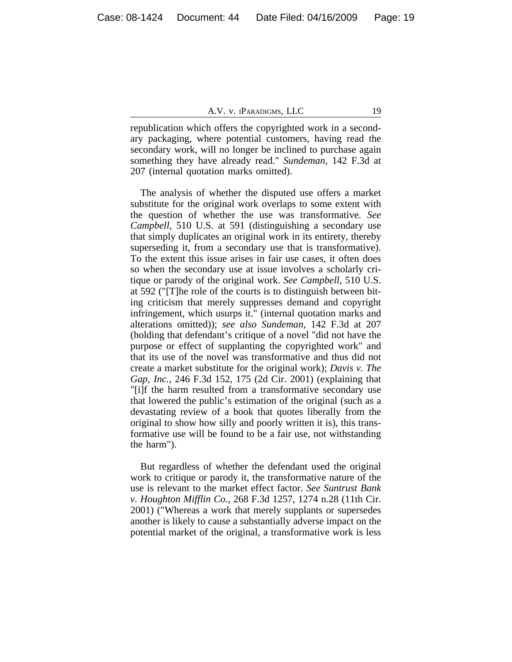republication which offers the copyrighted work in a secondary packaging, where potential customers, having read the secondary work, will no longer be inclined to purchase again something they have already read." *Sundeman*, 142 F.3d at 207 (internal quotation marks omitted).

The analysis of whether the disputed use offers a market substitute for the original work overlaps to some extent with the question of whether the use was transformative. *See Campbell*, 510 U.S. at 591 (distinguishing a secondary use that simply duplicates an original work in its entirety, thereby superseding it, from a secondary use that is transformative). To the extent this issue arises in fair use cases, it often does so when the secondary use at issue involves a scholarly critique or parody of the original work. *See Campbell*, 510 U.S. at 592 ("[T]he role of the courts is to distinguish between biting criticism that merely suppresses demand and copyright infringement, which usurps it." (internal quotation marks and alterations omitted)); *see also Sundeman*, 142 F.3d at 207 (holding that defendant's critique of a novel "did not have the purpose or effect of supplanting the copyrighted work" and that its use of the novel was transformative and thus did not create a market substitute for the original work); *Davis v. The Gap, Inc.*, 246 F.3d 152, 175 (2d Cir. 2001) (explaining that "[i]f the harm resulted from a transformative secondary use that lowered the public's estimation of the original (such as a devastating review of a book that quotes liberally from the original to show how silly and poorly written it is), this transformative use will be found to be a fair use, not withstanding the harm").

But regardless of whether the defendant used the original work to critique or parody it, the transformative nature of the use is relevant to the market effect factor. *See Suntrust Bank v. Houghton Mifflin Co.*, 268 F.3d 1257, 1274 n.28 (11th Cir. 2001) ("Whereas a work that merely supplants or supersedes another is likely to cause a substantially adverse impact on the potential market of the original, a transformative work is less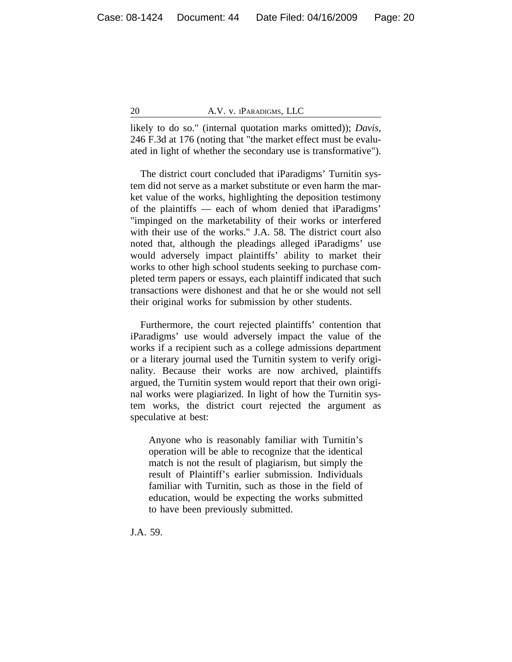likely to do so." (internal quotation marks omitted)); *Davis*, 246 F.3d at 176 (noting that "the market effect must be evaluated in light of whether the secondary use is transformative").

The district court concluded that iParadigms' Turnitin system did not serve as a market substitute or even harm the market value of the works, highlighting the deposition testimony of the plaintiffs — each of whom denied that iParadigms' "impinged on the marketability of their works or interfered with their use of the works." J.A. 58. The district court also noted that, although the pleadings alleged iParadigms' use would adversely impact plaintiffs' ability to market their works to other high school students seeking to purchase completed term papers or essays, each plaintiff indicated that such transactions were dishonest and that he or she would not sell their original works for submission by other students.

Furthermore, the court rejected plaintiffs' contention that iParadigms' use would adversely impact the value of the works if a recipient such as a college admissions department or a literary journal used the Turnitin system to verify originality. Because their works are now archived, plaintiffs argued, the Turnitin system would report that their own original works were plagiarized. In light of how the Turnitin system works, the district court rejected the argument as speculative at best:

Anyone who is reasonably familiar with Turnitin's operation will be able to recognize that the identical match is not the result of plagiarism, but simply the result of Plaintiff's earlier submission. Individuals familiar with Turnitin, such as those in the field of education, would be expecting the works submitted to have been previously submitted.

J.A. 59.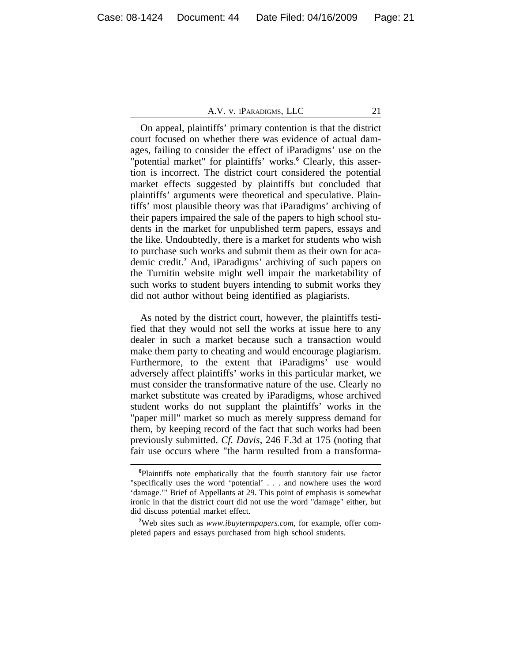On appeal, plaintiffs' primary contention is that the district court focused on whether there was evidence of actual damages, failing to consider the effect of iParadigms' use on the "potential market" for plaintiffs' works.<sup>6</sup> Clearly, this assertion is incorrect. The district court considered the potential market effects suggested by plaintiffs but concluded that plaintiffs' arguments were theoretical and speculative. Plaintiffs' most plausible theory was that iParadigms' archiving of their papers impaired the sale of the papers to high school students in the market for unpublished term papers, essays and the like. Undoubtedly, there is a market for students who wish to purchase such works and submit them as their own for academic credit.**<sup>7</sup>** And, iParadigms' archiving of such papers on the Turnitin website might well impair the marketability of such works to student buyers intending to submit works they did not author without being identified as plagiarists.

As noted by the district court, however, the plaintiffs testified that they would not sell the works at issue here to any dealer in such a market because such a transaction would make them party to cheating and would encourage plagiarism. Furthermore, to the extent that iParadigms' use would adversely affect plaintiffs' works in this particular market, we must consider the transformative nature of the use. Clearly no market substitute was created by iParadigms, whose archived student works do not supplant the plaintiffs' works in the "paper mill" market so much as merely suppress demand for them, by keeping record of the fact that such works had been previously submitted. *Cf. Davis*, 246 F.3d at 175 (noting that fair use occurs where "the harm resulted from a transforma-

**<sup>6</sup>**Plaintiffs note emphatically that the fourth statutory fair use factor "specifically uses the word 'potential' . . . and nowhere uses the word 'damage.'" Brief of Appellants at 29. This point of emphasis is somewhat ironic in that the district court did not use the word "damage" either, but did discuss potential market effect.

**<sup>7</sup>**Web sites such as *www.ibuytermpapers.com*, for example, offer completed papers and essays purchased from high school students.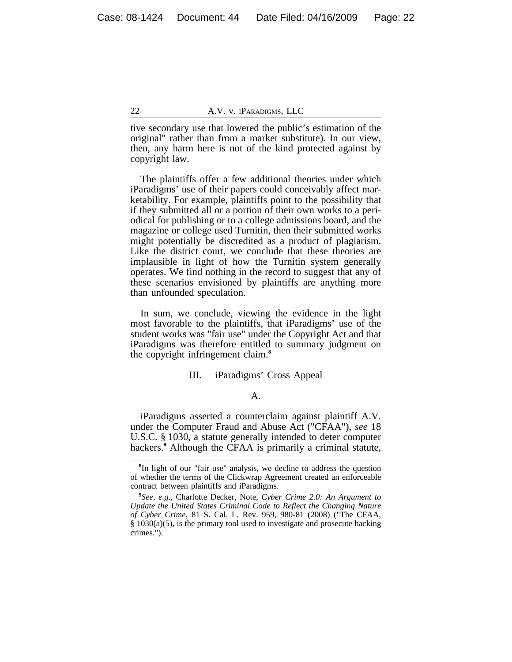tive secondary use that lowered the public's estimation of the original" rather than from a market substitute). In our view, then, any harm here is not of the kind protected against by copyright law.

The plaintiffs offer a few additional theories under which iParadigms' use of their papers could conceivably affect marketability. For example, plaintiffs point to the possibility that if they submitted all or a portion of their own works to a periodical for publishing or to a college admissions board, and the magazine or college used Turnitin, then their submitted works might potentially be discredited as a product of plagiarism. Like the district court, we conclude that these theories are implausible in light of how the Turnitin system generally operates. We find nothing in the record to suggest that any of these scenarios envisioned by plaintiffs are anything more than unfounded speculation.

In sum, we conclude, viewing the evidence in the light most favorable to the plaintiffs, that iParadigms' use of the student works was "fair use" under the Copyright Act and that iParadigms was therefore entitled to summary judgment on the copyright infringement claim.**<sup>8</sup>**

#### III. iParadigms' Cross Appeal

#### A.

iParadigms asserted a counterclaim against plaintiff A.V. under the Computer Fraud and Abuse Act ("CFAA"), *see* 18 U.S.C. § 1030, a statute generally intended to deter computer hackers.**<sup>9</sup>** Although the CFAA is primarily a criminal statute,

<sup>&</sup>lt;sup>8</sup>In light of our "fair use" analysis, we decline to address the question of whether the terms of the Clickwrap Agreement created an enforceable contract between plaintiffs and iParadigms.

**<sup>9</sup>** *See, e.g.*, Charlotte Decker, Note, *Cyber Crime 2.0: An Argument to Update the United States Criminal Code to Reflect the Changing Nature of Cyber Crime*, 81 S. Cal. L. Rev. 959, 980-81 (2008) ("The CFAA, § 1030(a)(5), is the primary tool used to investigate and prosecute hacking crimes.").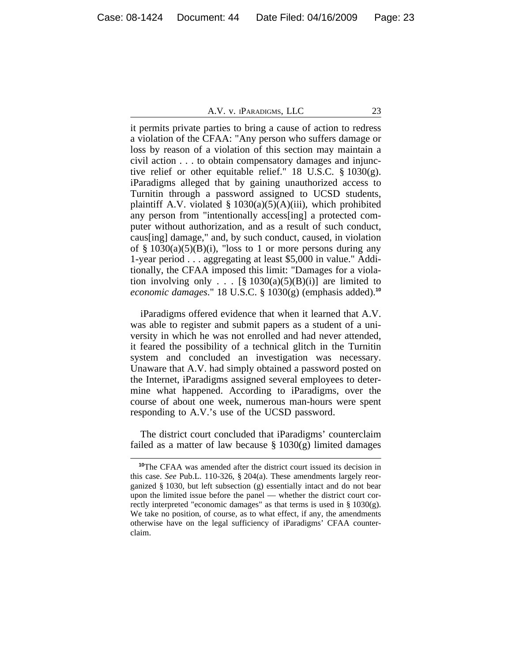it permits private parties to bring a cause of action to redress a violation of the CFAA: "Any person who suffers damage or loss by reason of a violation of this section may maintain a civil action . . . to obtain compensatory damages and injunctive relief or other equitable relief." 18 U.S.C. § 1030(g). iParadigms alleged that by gaining unauthorized access to Turnitin through a password assigned to UCSD students, plaintiff A.V. violated  $\S$  1030(a)(5)(A)(iii), which prohibited any person from "intentionally access[ing] a protected computer without authorization, and as a result of such conduct, caus[ing] damage," and, by such conduct, caused, in violation of  $\S$  1030(a)(5)(B)(i), "loss to 1 or more persons during any 1-year period . . . aggregating at least \$5,000 in value." Additionally, the CFAA imposed this limit: "Damages for a violation involving only . . .  $[\S 1030(a)(5)(B)(i)]$  are limited to *economic damages*." 18 U.S.C. § 1030(g) (emphasis added).**<sup>10</sup>**

iParadigms offered evidence that when it learned that A.V. was able to register and submit papers as a student of a university in which he was not enrolled and had never attended, it feared the possibility of a technical glitch in the Turnitin system and concluded an investigation was necessary. Unaware that A.V. had simply obtained a password posted on the Internet, iParadigms assigned several employees to determine what happened. According to iParadigms, over the course of about one week, numerous man-hours were spent responding to A.V.'s use of the UCSD password.

The district court concluded that iParadigms' counterclaim failed as a matter of law because  $\S 1030(g)$  limited damages

**<sup>10</sup>**The CFAA was amended after the district court issued its decision in this case. *See* Pub.L. 110-326, § 204(a). These amendments largely reorganized § 1030, but left subsection (g) essentially intact and do not bear upon the limited issue before the panel — whether the district court correctly interpreted "economic damages" as that terms is used in § 1030(g). We take no position, of course, as to what effect, if any, the amendments otherwise have on the legal sufficiency of iParadigms' CFAA counterclaim.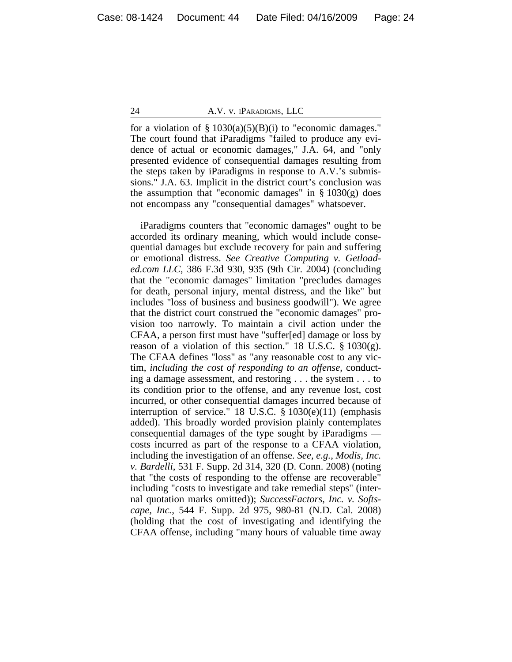for a violation of  $\S 1030(a)(5)(B)(i)$  to "economic damages." The court found that iParadigms "failed to produce any evidence of actual or economic damages," J.A. 64, and "only presented evidence of consequential damages resulting from the steps taken by iParadigms in response to A.V.'s submissions." J.A. 63. Implicit in the district court's conclusion was the assumption that "economic damages" in  $\S 1030(g)$  does not encompass any "consequential damages" whatsoever.

iParadigms counters that "economic damages" ought to be accorded its ordinary meaning, which would include consequential damages but exclude recovery for pain and suffering or emotional distress. *See Creative Computing v. Getloaded.com LLC*, 386 F.3d 930, 935 (9th Cir. 2004) (concluding that the "economic damages" limitation "precludes damages for death, personal injury, mental distress, and the like" but includes "loss of business and business goodwill"). We agree that the district court construed the "economic damages" provision too narrowly. To maintain a civil action under the CFAA, a person first must have "suffer[ed] damage or loss by reason of a violation of this section." 18 U.S.C.  $\S 1030(g)$ . The CFAA defines "loss" as "any reasonable cost to any victim, *including the cost of responding to an offense*, conducting a damage assessment, and restoring . . . the system . . . to its condition prior to the offense, and any revenue lost, cost incurred, or other consequential damages incurred because of interruption of service." 18 U.S.C. § 1030(e)(11) (emphasis added). This broadly worded provision plainly contemplates consequential damages of the type sought by iParadigms costs incurred as part of the response to a CFAA violation, including the investigation of an offense. *See, e.g.*, *Modis, Inc. v. Bardelli*, 531 F. Supp. 2d 314, 320 (D. Conn. 2008) (noting that "the costs of responding to the offense are recoverable" including "costs to investigate and take remedial steps" (internal quotation marks omitted)); *SuccessFactors, Inc. v. Softscape, Inc.*, 544 F. Supp. 2d 975, 980-81 (N.D. Cal. 2008) (holding that the cost of investigating and identifying the CFAA offense, including "many hours of valuable time away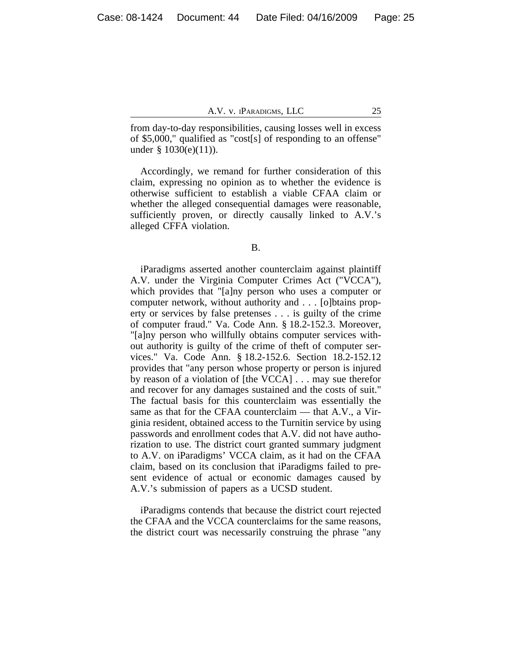from day-to-day responsibilities, causing losses well in excess of \$5,000," qualified as "cost[s] of responding to an offense" under § 1030(e)(11)).

Accordingly, we remand for further consideration of this claim, expressing no opinion as to whether the evidence is otherwise sufficient to establish a viable CFAA claim or whether the alleged consequential damages were reasonable, sufficiently proven, or directly causally linked to A.V.'s alleged CFFA violation.

B.

iParadigms asserted another counterclaim against plaintiff A.V. under the Virginia Computer Crimes Act ("VCCA"), which provides that "[a]ny person who uses a computer or computer network, without authority and . . . [o]btains property or services by false pretenses . . . is guilty of the crime of computer fraud." Va. Code Ann. § 18.2-152.3. Moreover, "[a]ny person who willfully obtains computer services without authority is guilty of the crime of theft of computer services." Va. Code Ann. § 18.2-152.6. Section 18.2-152.12 provides that "any person whose property or person is injured by reason of a violation of [the VCCA] . . . may sue therefor and recover for any damages sustained and the costs of suit." The factual basis for this counterclaim was essentially the same as that for the CFAA counterclaim — that A.V., a Virginia resident, obtained access to the Turnitin service by using passwords and enrollment codes that A.V. did not have authorization to use. The district court granted summary judgment to A.V. on iParadigms' VCCA claim, as it had on the CFAA claim, based on its conclusion that iParadigms failed to present evidence of actual or economic damages caused by A.V.'s submission of papers as a UCSD student.

iParadigms contends that because the district court rejected the CFAA and the VCCA counterclaims for the same reasons, the district court was necessarily construing the phrase "any